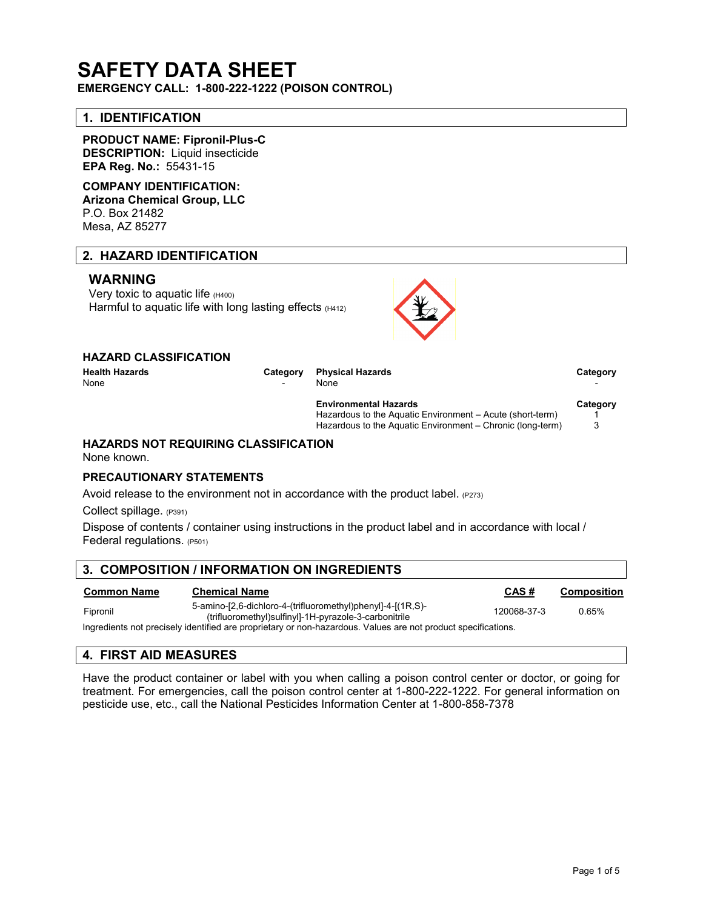# **SAFETY DATA SHEET**

**EMERGENCY CALL: 1-800-222-1222 (POISON CONTROL)**

# **1. IDENTIFICATION**

**PRODUCT NAME: Fipronil-Plus-C DESCRIPTION:** Liquid insecticide **EPA Reg. No.:** 55431-15

# **COMPANY IDENTIFICATION:**

**Arizona Chemical Group, LLC** P.O. Box 21482 Mesa, AZ 85277

# **2. HAZARD IDENTIFICATION**

# **WARNING**

Very toxic to aquatic life (H400) Harmful to aquatic life with long lasting effects (H412)



| <b>HAZARD CLASSIFICATION</b> |  |  |
|------------------------------|--|--|
|------------------------------|--|--|

**Health Hazards Category Physical Hazards Category** None the set of the set of the None that the Second Contract of the Second Contract of the Second Contract of the Second Contract of the Second Contract of the Second Contract of the Second Contract of the Second Contract

| <b>Environmental Hazards</b>                               | Category |
|------------------------------------------------------------|----------|
| Hazardous to the Aquatic Environment – Acute (short-term)  |          |
| Hazardous to the Aquatic Environment – Chronic (long-term) |          |

# **HAZARDS NOT REQUIRING CLASSIFICATION**

None known.

#### **PRECAUTIONARY STATEMENTS**

Avoid release to the environment not in accordance with the product label.  $(P273)$ 

Collect spillage. (P391)

Dispose of contents / container using instructions in the product label and in accordance with local / Federal regulations. (P501)

# **3. COMPOSITION / INFORMATION ON INGREDIENTS**

| Common Name | <b>Chemical Name</b>                                                                                                 | CAS#        | Composition |
|-------------|----------------------------------------------------------------------------------------------------------------------|-------------|-------------|
| Fipronil    | 5-amino-[2,6-dichloro-4-(trifluoromethyl)phenyl]-4-[(1R,S)-<br>(trifluoromethyl)sulfinyl]-1H-pyrazole-3-carbonitrile | 120068-37-3 | 0.65%       |
|             | Ingredients not precisely identified are proprietary or non-hazardous. Values are not product specifications         |             |             |

dients not precisely identified are proprietary or non-hazardous. Values are not pro

# **4. FIRST AID MEASURES**

Have the product container or label with you when calling a poison control center or doctor, or going for treatment. For emergencies, call the poison control center at 1-800-222-1222. For general information on pesticide use, etc., call the National Pesticides Information Center at 1-800-858-7378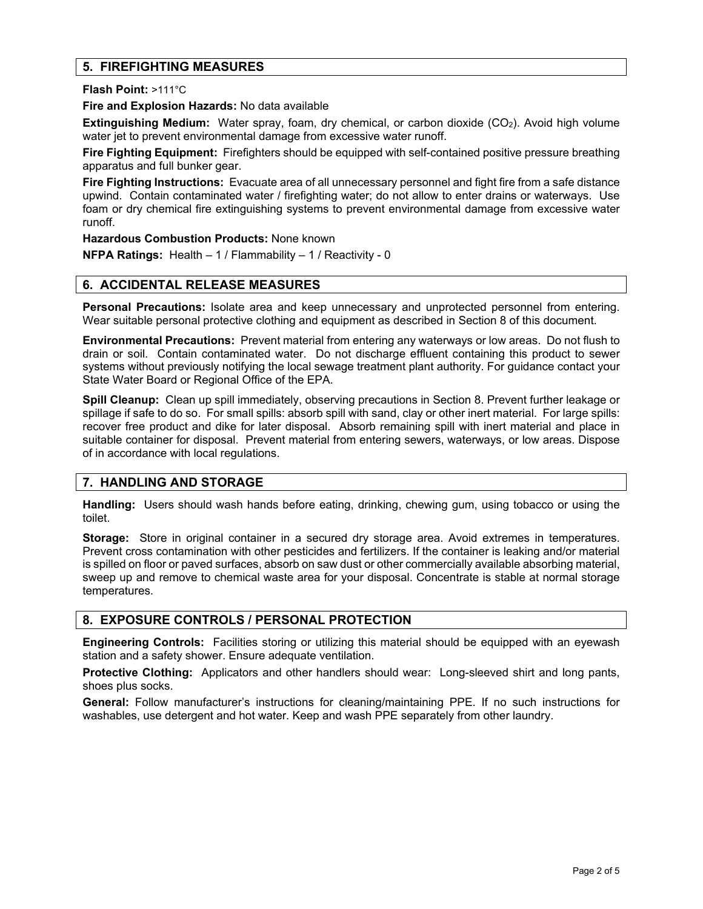# **5. FIREFIGHTING MEASURES**

**Flash Point:** >111°C

**Fire and Explosion Hazards:** No data available

**Extinguishing Medium:** Water spray, foam, dry chemical, or carbon dioxide (CO<sub>2</sub>). Avoid high volume water jet to prevent environmental damage from excessive water runoff.

**Fire Fighting Equipment:** Firefighters should be equipped with self-contained positive pressure breathing apparatus and full bunker gear.

**Fire Fighting Instructions:** Evacuate area of all unnecessary personnel and fight fire from a safe distance upwind. Contain contaminated water / firefighting water; do not allow to enter drains or waterways. Use foam or dry chemical fire extinguishing systems to prevent environmental damage from excessive water runoff.

**Hazardous Combustion Products:** None known

**NFPA Ratings:** Health – 1 / Flammability – 1 / Reactivity - 0

# **6. ACCIDENTAL RELEASE MEASURES**

**Personal Precautions:** Isolate area and keep unnecessary and unprotected personnel from entering. Wear suitable personal protective clothing and equipment as described in Section 8 of this document.

**Environmental Precautions:** Prevent material from entering any waterways or low areas. Do not flush to drain or soil. Contain contaminated water. Do not discharge effluent containing this product to sewer systems without previously notifying the local sewage treatment plant authority. For guidance contact your State Water Board or Regional Office of the EPA.

**Spill Cleanup:** Clean up spill immediately, observing precautions in Section 8. Prevent further leakage or spillage if safe to do so. For small spills: absorb spill with sand, clay or other inert material. For large spills: recover free product and dike for later disposal. Absorb remaining spill with inert material and place in suitable container for disposal. Prevent material from entering sewers, waterways, or low areas. Dispose of in accordance with local regulations.

# **7. HANDLING AND STORAGE**

**Handling:** Users should wash hands before eating, drinking, chewing gum, using tobacco or using the toilet.

**Storage:** Store in original container in a secured dry storage area. Avoid extremes in temperatures. Prevent cross contamination with other pesticides and fertilizers. If the container is leaking and/or material is spilled on floor or paved surfaces, absorb on saw dust or other commercially available absorbing material, sweep up and remove to chemical waste area for your disposal. Concentrate is stable at normal storage temperatures.

#### **8. EXPOSURE CONTROLS / PERSONAL PROTECTION**

**Engineering Controls:** Facilities storing or utilizing this material should be equipped with an eyewash station and a safety shower. Ensure adequate ventilation.

**Protective Clothing:** Applicators and other handlers should wear: Long-sleeved shirt and long pants, shoes plus socks.

**General:** Follow manufacturer's instructions for cleaning/maintaining PPE. If no such instructions for washables, use detergent and hot water. Keep and wash PPE separately from other laundry.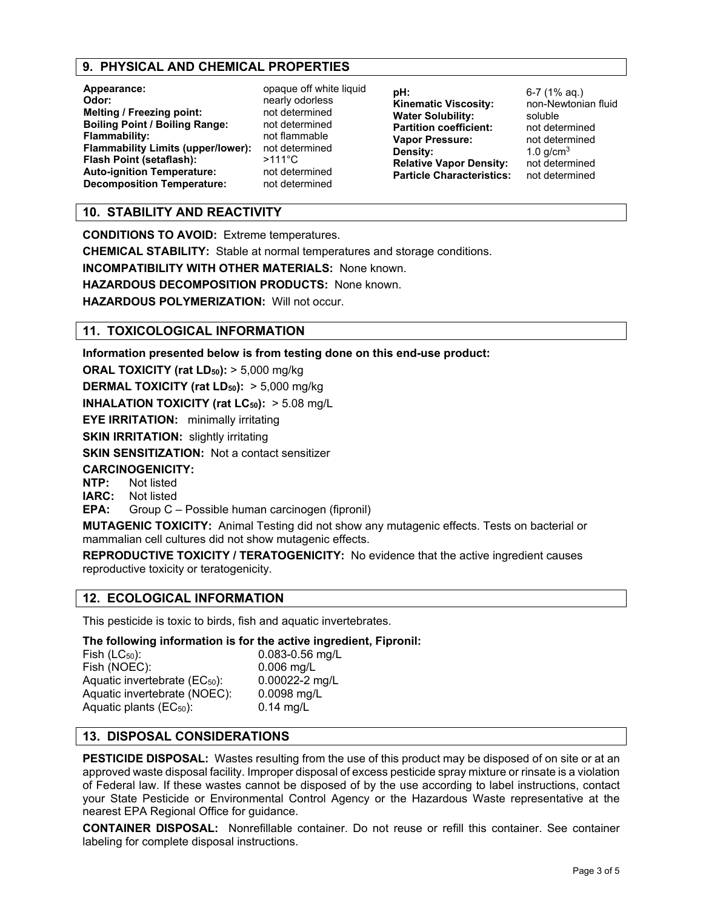# **9. PHYSICAL AND CHEMICAL PROPERTIES**

| Appearance:                              |
|------------------------------------------|
| Odor:                                    |
| <b>Melting / Freezing point:</b>         |
| <b>Boiling Point / Boiling Range:</b>    |
| <b>Flammability:</b>                     |
| <b>Flammability Limits (upper/lower)</b> |
| Flash Point (setaflash):                 |
| <b>Auto-ignition Temperature:</b>        |
| <b>Decomposition Temperature:</b>        |

**Appearance:** opaque off white liquid **Odor:** nearly odorless **Melting / Freezing point:** not determined **Boiling Point / Boiling Range:** not determined **Flammability:** not flammable **Flamma** is mot determined **Flash Point (setaflash):** >111°C **Auto-ignition Temperature:** not determined **Decomposition Temperature:** not determined

**pH:** 6-7 (1% aq.)<br>**Kinematic Viscosity:** non-Newtonian fluid **Kinematic Viscosity:** non-Ne<br> **Water Solubility:** soluble **Water Solubility:** soluble<br> **Partition coefficient:** not determined **Partition coefficient:** not determined<br> **Vapor Pressure:** not determined **Vapor Pressure:**<br>Density: **Relative Vapor Density:** not determined **Particle Characteristics:** 

1.0 g/cm<sup>3</sup><br>not determined

# **10. STABILITY AND REACTIVITY**

**CONDITIONS TO AVOID:** Extreme temperatures.

**CHEMICAL STABILITY:** Stable at normal temperatures and storage conditions.

**INCOMPATIBILITY WITH OTHER MATERIALS:** None known.

**HAZARDOUS DECOMPOSITION PRODUCTS:** None known.

**HAZARDOUS POLYMERIZATION:** Will not occur.

# **11. TOXICOLOGICAL INFORMATION**

**Information presented below is from testing done on this end-use product:**

**ORAL TOXICITY (rat LD<sub>50</sub>): > 5,000 mg/kg** 

**DERMAL TOXICITY (rat LD<sub>50</sub>):** > 5,000 mg/kg

**INHALATION TOXICITY (rat LC<sub>50</sub>):** > 5.08 mg/L

**EYE IRRITATION:** minimally irritating

**SKIN IRRITATION:** slightly irritating

**SKIN SENSITIZATION:** Not a contact sensitizer

# **CARCINOGENICITY:**

**NTP:** Not listed<br>**IARC:** Not listed

**Not listed** 

**EPA:** Group C – Possible human carcinogen (fipronil)

**MUTAGENIC TOXICITY:** Animal Testing did not show any mutagenic effects. Tests on bacterial or mammalian cell cultures did not show mutagenic effects.

**REPRODUCTIVE TOXICITY / TERATOGENICITY:** No evidence that the active ingredient causes reproductive toxicity or teratogenicity.

# **12. ECOLOGICAL INFORMATION**

This pesticide is toxic to birds, fish and aquatic invertebrates.

**The following information is for the active ingredient, Fipronil:**

| Fish $(LC_{50})$ :                        | 0.083-0.56 mg/L |
|-------------------------------------------|-----------------|
| Fish (NOEC):                              | $0.006$ mg/L    |
| Aquatic invertebrate (EC <sub>50</sub> ): | 0.00022-2 mg/L  |
| Aquatic invertebrate (NOEC):              | 0.0098 mg/L     |
| Aquatic plants $(EC_{50})$ :              | $0.14$ mg/L     |

# **13. DISPOSAL CONSIDERATIONS**

**PESTICIDE DISPOSAL:** Wastes resulting from the use of this product may be disposed of on site or at an approved waste disposal facility. Improper disposal of excess pesticide spray mixture or rinsate is a violation of Federal law. If these wastes cannot be disposed of by the use according to label instructions, contact your State Pesticide or Environmental Control Agency or the Hazardous Waste representative at the nearest EPA Regional Office for guidance.

**CONTAINER DISPOSAL:** Nonrefillable container. Do not reuse or refill this container. See container labeling for complete disposal instructions.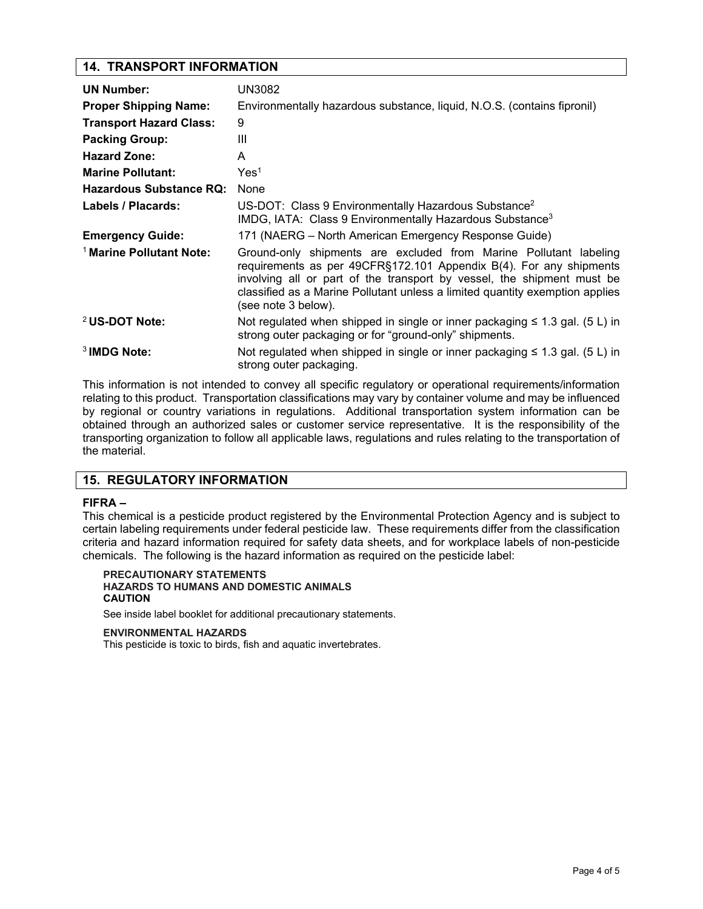# **14. TRANSPORT INFORMATION**

| <b>UN Number:</b>                   | UN3082                                                                                                                                                                                                                                                                                                                   |
|-------------------------------------|--------------------------------------------------------------------------------------------------------------------------------------------------------------------------------------------------------------------------------------------------------------------------------------------------------------------------|
| <b>Proper Shipping Name:</b>        | Environmentally hazardous substance, liquid, N.O.S. (contains fipronil)                                                                                                                                                                                                                                                  |
| <b>Transport Hazard Class:</b>      | 9                                                                                                                                                                                                                                                                                                                        |
| <b>Packing Group:</b>               | Ш                                                                                                                                                                                                                                                                                                                        |
| <b>Hazard Zone:</b>                 | A                                                                                                                                                                                                                                                                                                                        |
| <b>Marine Pollutant:</b>            | Yes <sup>1</sup>                                                                                                                                                                                                                                                                                                         |
| <b>Hazardous Substance RQ:</b>      | None                                                                                                                                                                                                                                                                                                                     |
| Labels / Placards:                  | US-DOT: Class 9 Environmentally Hazardous Substance <sup>2</sup><br>IMDG, IATA: Class 9 Environmentally Hazardous Substance <sup>3</sup>                                                                                                                                                                                 |
| <b>Emergency Guide:</b>             | 171 (NAERG – North American Emergency Response Guide)                                                                                                                                                                                                                                                                    |
| <sup>1</sup> Marine Pollutant Note: | Ground-only shipments are excluded from Marine Pollutant labeling<br>requirements as per 49CFR§172.101 Appendix B(4). For any shipments<br>involving all or part of the transport by vessel, the shipment must be<br>classified as a Marine Pollutant unless a limited quantity exemption applies<br>(see note 3 below). |
| <sup>2</sup> US-DOT Note:           | Not regulated when shipped in single or inner packaging $\leq 1.3$ gal. (5 L) in<br>strong outer packaging or for "ground-only" shipments.                                                                                                                                                                               |
| <sup>3</sup> IMDG Note:             | Not regulated when shipped in single or inner packaging $\leq 1.3$ gal. (5 L) in<br>strong outer packaging.                                                                                                                                                                                                              |

This information is not intended to convey all specific regulatory or operational requirements/information relating to this product. Transportation classifications may vary by container volume and may be influenced by regional or country variations in regulations. Additional transportation system information can be obtained through an authorized sales or customer service representative. It is the responsibility of the transporting organization to follow all applicable laws, regulations and rules relating to the transportation of the material.

# **15. REGULATORY INFORMATION**

#### **FIFRA –**

This chemical is a pesticide product registered by the Environmental Protection Agency and is subject to certain labeling requirements under federal pesticide law. These requirements differ from the classification criteria and hazard information required for safety data sheets, and for workplace labels of non-pesticide chemicals. The following is the hazard information as required on the pesticide label:

#### **PRECAUTIONARY STATEMENTS HAZARDS TO HUMANS AND DOMESTIC ANIMALS CAUTION**

See inside label booklet for additional precautionary statements.

#### **ENVIRONMENTAL HAZARDS**

This pesticide is toxic to birds, fish and aquatic invertebrates.